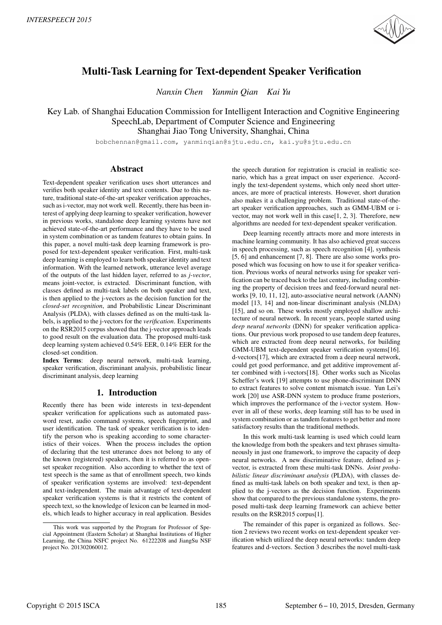

# Multi-Task Learning for Text-dependent Speaker Verification

*Nanxin Chen Yanmin Qian Kai Yu*

Key Lab. of Shanghai Education Commission for Intelligent Interaction and Cognitive Engineering SpeechLab, Department of Computer Science and Engineering Shanghai Jiao Tong University, Shanghai, China

bobchennan@gmail.com, yanminqian@sjtu.edu.cn, kai.yu@sjtu.edu.cn

## Abstract

Text-dependent speaker verification uses short utterances and verifies both speaker identity and text contents. Due to this nature, traditional state-of-the-art speaker verification approaches, such as i-vector, may not work well. Recently, there has been interest of applying deep learning to speaker verification, however in previous works, standalone deep learning systems have not achieved state-of-the-art performance and they have to be used in system combination or as tandem features to obtain gains. In this paper, a novel multi-task deep learning framework is proposed for text-dependent speaker verification. First, multi-task deep learning is employed to learn both speaker identity and text information. With the learned network, utterance level average of the outputs of the last hidden layer, referred to as *j-vector*, means joint-vector, is extracted. Discriminant function, with classes defined as multi-task labels on both speaker and text, is then applied to the j-vectors as the decision function for the *closed-set recognition*, and Probabilistic Linear Discriminant Analysis (PLDA), with classes defined as on the multi-task labels, is applied to the j-vectors for the *verification*. Experiments on the RSR2015 corpus showed that the j-vector approach leads to good result on the evaluation data. The proposed multi-task deep learning system achieved 0.54% EER, 0.14% EER for the closed-set condition.

Index Terms: deep neural network, multi-task learning, speaker verification, discriminant analysis, probabilistic linear discriminant analysis, deep learning

## 1. Introduction

Recently there has been wide interests in text-dependent speaker verification for applications such as automated password reset, audio command systems, speech fingerprint, and user identification. The task of speaker verification is to identify the person who is speaking according to some characteristics of their voices. When the process includes the option of declaring that the test utterance does not belong to any of the known (registered) speakers, then it is referred to as openset speaker recognition. Also according to whether the text of test speech is the same as that of enrollment speech, two kinds of speaker verification systems are involved: text-dependent and text-independent. The main advantage of text-dependent speaker verification systems is that it restricts the content of speech text, so the knowledge of lexicon can be learned in models, which leads to higher accuracy in real application. Besides the speech duration for registration is crucial in realistic scenario, which has a great impact on user experience. Accordingly the text-dependent systems, which only need short utterances, are more of practical interests. However, short duration also makes it a challenging problem. Traditional state-of-theart speaker verification approaches, such as GMM-UBM or ivector, may not work well in this case[1, 2, 3]. Therefore, new algorithms are needed for text-dependent speaker verification.

Deep learning recently attracts more and more interests in machine learning community. It has also achieved great success in speech processing, such as speech recognition [4], synthesis [5, 6] and enhancement [7, 8]. There are also some works proposed which was focusing on how to use it for speaker verification. Previous works of neural networks using for speaker verification can be traced back to the last century, including combining the property of decision trees and feed-forward neural networks [9, 10, 11, 12], auto-associative neural network (AANN) model [13, 14] and non-linear discriminant analysis (NLDA) [15], and so on. These works mostly employed shallow architecture of neural network. In recent years, people started using *deep neural networks* (DNN) for speaker verification applications. Our previous work proposed to use tandem deep features, which are extracted from deep neural networks, for building GMM-UBM text-dependent speaker verification systems[16]. d-vectors[17], which are extracted from a deep neural network, could get good performance, and get additive improvement after combined with i-vectors[18]. Other works such as Nicolas Scheffer's work [19] attempts to use phone-discriminant DNN to extract features to solve content mismatch issue. Yun Lei's work [20] use ASR-DNN system to produce frame posteriors, which improves the performance of the i-vector system. However in all of these works, deep learning still has to be used in system combination or as tandem features to get better and more satisfactory results than the traditional methods.

In this work multi-task learning is used which could learn the knowledge from both the speakers and text phrases simultaneously in just one framework, to improve the capacity of deep neural networks. A new discriminative feature, defined as jvector, is extracted from these multi-task DNNs. *Joint probabilistic linear discriminant analysis* (PLDA), with classes defined as multi-task labels on both speaker and text, is then applied to the j-vectors as the decision function. Experiments show that compared to the previous standalone systems, the proposed multi-task deep learning framework can achieve better results on the RSR2015 corpus[1].

The remainder of this paper is organized as follows. Section 2 reviews two recent works on text-dependent speaker verification which utilized the deep neural networks: tandem deep features and d-vectors. Section 3 describes the novel multi-task

This work was supported by the Program for Professor of Special Appointment (Eastern Scholar) at Shanghai Institutions of Higher Learning, the China NSFC project No. 61222208 and JiangSu NSF project No. 201302060012.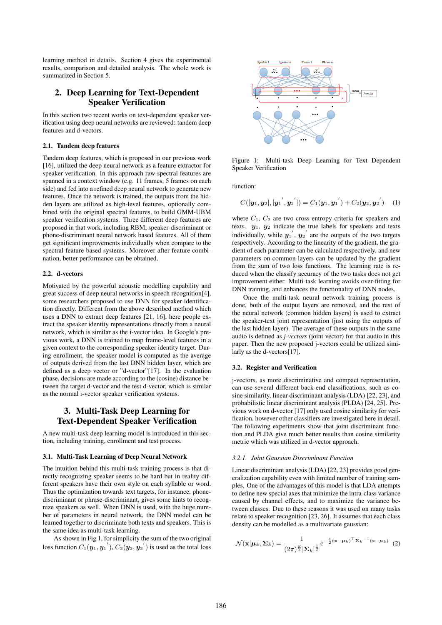learning method in details. Section 4 gives the experimental results, comparison and detailed analysis. The whole work is summarized in Section 5.

# 2. Deep Learning for Text-Dependent Speaker Verification

In this section two recent works on text-dependent speaker verification using deep neural networks are reviewed: tandem deep features and d-vectors.

#### 2.1. Tandem deep features

Tandem deep features, which is proposed in our previous work [16], utilized the deep neural network as a feature extractor for speaker verification. In this approach raw spectral features are spanned in a context window (e.g. 11 frames, 5 frames on each side) and fed into a refined deep neural network to generate new features. Once the network is trained, the outputs from the hidden layers are utilized as high-level features, optionally combined with the original spectral features, to build GMM-UBM speaker verification systems. Three different deep features are proposed in that work, including RBM, speaker-discriminant or phone-discriminant neural network based features. All of them get significant improvements individually when compare to the spectral feature based systems. Moreover after feature combination, better performance can be obtained.

## 2.2. d-vectors

Motivated by the powerful acoustic modelling capability and great success of deep neural networks in speech recognition[4], some researchers proposed to use DNN for speaker identification directly. Different from the above described method which uses a DNN to extract deep features [21, 16], here people extract the speaker identity representations directly from a neural network, which is similar as the i-vector idea. In Google's previous work, a DNN is trained to map frame-level features in a given context to the corresponding speaker identity target. During enrollment, the speaker model is computed as the average of outputs derived from the last DNN hidden layer, which are defined as a deep vector or "d-vector"[17]. In the evaluation phase, decisions are made according to the (cosine) distance between the target d-vector and the test d-vector, which is similar as the normal i-vector speaker verification systems.

# 3. Multi-Task Deep Learning for Text-Dependent Speaker Verification

A new multi-task deep learning model is introduced in this section, including training, enrollment and test process.

#### 3.1. Multi-Task Learning of Deep Neural Network

The intuition behind this multi-task training process is that directly recognizing speaker seems to be hard but in reality different speakers have their own style on each syllable or word. Thus the optimization towards text targets, for instance, phonediscriminant or phrase-discriminant, gives some hints to recognize speakers as well. When DNN is used, with the huge number of parameters in neural network, the DNN model can be learned together to discriminate both texts and speakers. This is the same idea as multi-task learning.

As shown in Fig 1, for simplicity the sum of the two original loss function  $C_1(\boldsymbol{y}_1, \boldsymbol{y}_1^{'}), C_2(\boldsymbol{y}_2, \boldsymbol{y}_2^{'})$  is used as the total loss



Figure 1: Multi-task Deep Learning for Text Dependent Speaker Verification

function:

$$
C([y_1, y_2], [y_1', y_2']) = C_1(y_1, y_1') + C_2(y_2, y_2') \quad (1)
$$

where  $C_1$ ,  $C_2$  are two cross-entropy criteria for speakers and texts. *y*1, *y*<sup>2</sup> indicate the true labels for speakers and texts individually, while  $y_1$ <sup>'</sup>,  $y_2$ <sup>'</sup> are the outputs of the two targets respectively. According to the linearity of the gradient, the gradient of each parameter can be calculated respectively, and new parameters on common layers can be updated by the gradient from the sum of two loss functions. The learning rate is reduced when the classify accuracy of the two tasks does not get improvement either. Multi-task learning avoids over-fitting for DNN training, and enhances the functionality of DNN nodes.

Once the multi-task neural network training process is done, both of the output layers are removed, and the rest of the neural network (common hidden layers) is used to extract the speaker-text joint representation (just using the outputs of the last hidden layer). The average of these outputs in the same audio is defined as *j-vectors* (joint vector) for that audio in this paper. Then the new proposed j-vectors could be utilized similarly as the d-vectors[17].

#### 3.2. Register and Verification

j-vectors, as more discriminative and compact representation, can use several different back-end classifications, such as cosine similarity, linear discriminant analysis (LDA) [22, 23], and probabilistic linear discriminant analysis (PLDA) [24, 25]. Previous work on d-vector [17] only used cosine similarity for verification, however other classifiers are investigated here in detail. The following experiments show that joint discriminant function and PLDA give much better results than cosine similarity metric which was utilized in d-vector approach.

## *3.2.1. Joint Gaussian Discriminant Function*

Linear discriminant analysis (LDA) [22, 23] provides good generalization capability even with limited number of training samples. One of the advantages of this model is that LDA attempts to define new special axes that minimize the intra-class variance caused by channel effects, and to maximize the variance between classes. Due to these reasons it was used on many tasks relate to speaker recognition [23, 26]. It assumes that each class density can be modelled as a multivariate gaussian:

$$
\mathcal{N}(\mathbf{x}|\boldsymbol{\mu}_k, \boldsymbol{\Sigma}_k) = \frac{1}{(2\pi)^{\frac{p}{2}} |\boldsymbol{\Sigma}_k|^{\frac{1}{2}}} e^{-\frac{1}{2}(\mathbf{x} - \boldsymbol{\mu}_k)^{\top} \boldsymbol{\Sigma}_k^{-1}(\mathbf{x} - \boldsymbol{\mu}_k)}
$$
(2)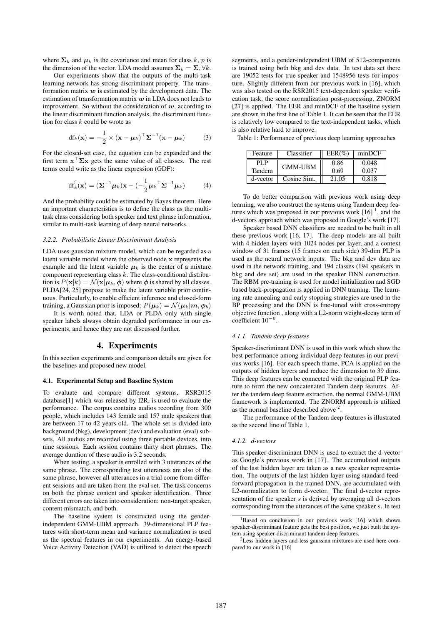where  $\Sigma_k$  and  $\mu_k$  is the covariance and mean for class *k*, *p* is the dimension of the vector. LDA model assumes  $\Sigma_k = \Sigma$ ,  $\forall k$ .

Our experiments show that the outputs of the multi-task learning network has strong discriminant property. The transformation matrix *w* is estimated by the development data. The estimation of transformation matrix *w* in LDA does not leads to improvement. So without the consideration of *w*, according to the linear discriminant function analysis, the discriminant function for class *k* could be wrote as

$$
df_k(\mathbf{x}) = -\frac{1}{2} \times (\mathbf{x} - \boldsymbol{\mu}_k)^{\top} \boldsymbol{\Sigma}^{-1} (\mathbf{x} - \boldsymbol{\mu}_k)
$$
 (3)

For the closed-set case, the equation can be expanded and the first term  $\mathbf{x}$   $\mathbf{\Sigma}\mathbf{x}$  gets the same value of all classes. The rest terms could write as the linear expression (GDF):

$$
\mathrm{df}_{k}'(\mathbf{x}) = (\mathbf{\Sigma}^{-1}\boldsymbol{\mu}_{k})\mathbf{x} + (-\frac{1}{2}\boldsymbol{\mu}_{k}^{\top}\mathbf{\Sigma}^{-1}\boldsymbol{\mu}_{k})
$$
(4)

And the probability could be estimated by Bayes theorem. Here an important characteristics is to define the class as the multitask class considering both speaker and text phrase information, similar to multi-task learning of deep neural networks.

### *3.2.2. Probabilistic Linear Discriminant Analysis*

LDA uses gaussian mixture model, which can be regarded as a latent variable model where the observed node **x** represents the example and the latent variable  $\mu_k$  is the center of a mixture component representing class *k*. The class-conditional distribution is  $P(\mathbf{x}|k) = \mathcal{N}(\mathbf{x}|\boldsymbol{\mu}_k, \boldsymbol{\phi})$  where  $\boldsymbol{\phi}$  is shared by all classes. PLDA[24, 25] propose to make the latent variable prior continuous. Particularly, to enable efficient inference and closed-form training, a Gaussian prior is imposed:  $P(\mu_k) = \mathcal{N}(\mu_k|m, \phi_b)$ 

It is worth noted that, LDA or PLDA only with single speaker labels always obtain degraded performance in our experiments, and hence they are not discussed further.

## 4. Experiments

In this section experiments and comparison details are given for the baselines and proposed new model.

#### 4.1. Experimental Setup and Baseline System

To evaluate and compare different systems, RSR2015 database[1] which was released by I2R, is used to evaluate the performance. The corpus contains audios recording from 300 people, which includes 143 female and 157 male speakers that are between 17 to 42 years old. The whole set is divided into background (bkg), development (dev) and evaluation (eval) subsets. All audios are recorded using three portable devices, into nine sessions. Each session contains thirty short phrases. The average duration of these audio is 3.2 seconds.

When testing, a speaker is enrolled with 3 utterances of the same phrase. The corresponding test utterances are also of the same phrase, however all utterances in a trial come from different sessions and are taken from the eval set. The task concerns on both the phrase content and speaker identification. Three different errors are taken into consideration: non-target speaker, content mismatch, and both.

The baseline system is constructed using the genderindependent GMM-UBM approach. 39-dimensional PLP features with short-term mean and variance normalization is used as the spectral features in our experiments. An energy-based Voice Activity Detection (VAD) is utilized to detect the speech

segments, and a gender-independent UBM of 512-components is trained using both bkg and dev data. In test data set there are 19052 tests for true speaker and 1548956 tests for imposture. Slightly different from our previous work in [16], which was also tested on the RSR2015 text-dependent speaker verification task, the score normalization post-processing, ZNORM [27] is applied. The EER and minDCF of the baseline system are shown in the first line of Table 1. It can be seen that the EER is relatively low compared to the text-independent tasks, which is also relative hard to improve.

Table 1: Performance of previous deep learning approaches

| Feature  | Classifier     | $EER(\%)$ | minDCF |  |
|----------|----------------|-----------|--------|--|
| PI P     | <b>GMM-UBM</b> | 0.86      | 0.048  |  |
| Tandem   |                | 0.69      | 0.037  |  |
| d-vector | Cosine Sim.    | 21.05     | 0.818  |  |

To do better comparison with previous work using deep learning, we also construct the systems using Tandem deep features which was proposed in our previous work  $[16]$ <sup>1</sup>, and the d-vectors approach which was proposed in Google's work [17].

Speaker based DNN classifiers are needed to be built in all these previous work [16, 17]. The deep models are all built with 4 hidden layers with 1024 nodes per layer, and a context window of 31 frames (15 frames on each side) 39-dim PLP is used as the neural network inputs. The bkg and dev data are used in the network training, and 194 classes (194 speakers in bkg and dev set) are used in the speaker DNN construction. The RBM pre-training is used for model initialization and SGD based back-propagation is applied in DNN training. The learning rate annealing and early stopping strategies are used in the BP processing and the DNN is fine-tuned with cross-entropy objective function , along with a L2-norm weight-decay term of coefficient 10*−*<sup>6</sup> .

#### *4.1.1. Tandem deep features*

Speaker-discriminant DNN is used in this work which show the best performance among individual deep features in our previous works [16]. For each speech frame, PCA is applied on the outputs of hidden layers and reduce the dimension to 39 dims. This deep features can be connected with the original PLP feature to form the new concatenated Tandem deep features. After the tandem deep feature extraction, the normal GMM-UBM framework is implemented. The ZNORM approach is utilized as the normal baseline described above <sup>2</sup>.

The performance of the Tandem deep features is illustrated as the second line of Table 1.

#### *4.1.2. d-vectors*

This speaker-discriminant DNN is used to extract the d-vector as Google's previous work in [17]. The accumulated outputs of the last hidden layer are taken as a new speaker representation. The outputs of the last hidden layer using standard feedforward propagation in the trained DNN, are accumulated with L2-normalization to form d-vector. The final d-vector representation of the speaker *s* is derived by averaging all d-vectors corresponding from the utterances of the same speaker *s*. In test

<sup>&</sup>lt;sup>1</sup>Based on conclusion in our previous work [16] which shows speaker-discriminant feature gets the best position, we just built the system using speaker-discriminant tandem deep features.

<sup>2</sup>Less hidden layers and less gaussian mixtures are used here compared to our work in [16]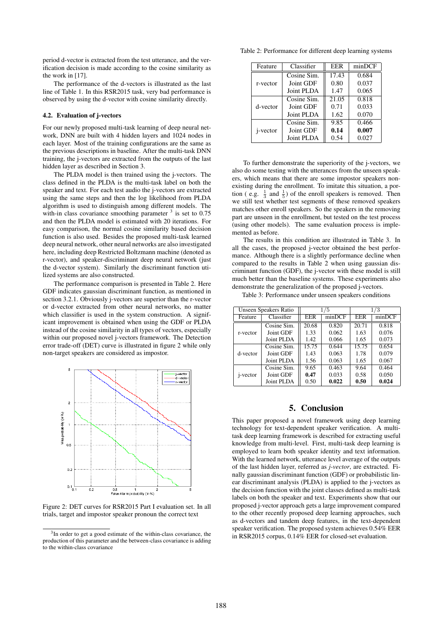period d-vector is extracted from the test utterance, and the verification decision is made according to the cosine similarity as the work in [17].

The performance of the d-vectors is illustrated as the last line of Table 1. In this RSR2015 task, very bad performance is observed by using the d-vector with cosine similarity directly.

#### 4.2. Evaluation of j-vectors

For our newly proposed multi-task learning of deep neural network, DNN are built with 4 hidden layers and 1024 nodes in each layer. Most of the training configurations are the same as the previous descriptions in baseline. After the multi-task DNN training, the j-vectors are extracted from the outputs of the last hidden layer as described in Section 3.

The PLDA model is then trained using the j-vectors. The class defined in the PLDA is the multi-task label on both the speaker and text. For each test audio the j-vectors are extracted using the same steps and then the log likelihood from PLDA algorithm is used to distinguish among different models. The with-in class covariance smoothing parameter  $3$  is set to 0.75 and then the PLDA model is estimated with 20 iterations. For easy comparison, the normal cosine similarity based decision function is also used. Besides the proposed multi-task learned deep neural network, other neural networks are also investigated here, including deep Restricted Boltzmann machine (denoted as r-vector), and speaker-discriminant deep neural network (just the d-vector system). Similarly the discriminant function utilized systems are also constructed.

The performance comparison is presented in Table 2. Here GDF indicates gaussian discriminant function, as mentioned in section 3.2.1. Obviously j-vectors are superior than the r-vector or d-vector extracted from other neural networks, no matter which classifier is used in the system construction. A significant improvement is obtained when using the GDF or PLDA instead of the cosine similarity in all types of vectors, especially within our proposed novel j-vectors framework. The Detection error trade-off (DET) curve is illustrated in figure 2 while only non-target speakers are considered as impostor.



Figure 2: DET curves for RSR2015 Part I evaluation set. In all trials, target and impostor speaker pronoun the correct text

Table 2: Performance for different deep learning systems

| Feature          | Classifier  | EER   | minDCF |  |
|------------------|-------------|-------|--------|--|
| r-vector         | Cosine Sim. | 17.43 | 0.684  |  |
|                  | Joint GDF   | 0.80  | 0.037  |  |
|                  | Joint PLDA  | 1.47  | 0.065  |  |
| d-vector         | Cosine Sim. | 21.05 | 0.818  |  |
|                  | Joint GDF   | 0.71  | 0.033  |  |
|                  | Joint PLDA  | 1.62  | 0.070  |  |
| <i>i</i> -vector | Cosine Sim. | 9.85  | 0.466  |  |
|                  | Joint GDF   | 0.14  | 0.007  |  |
|                  | Joint PLDA  | 0.54  | 0.027  |  |

To further demonstrate the superiority of the j-vectors, we also do some testing with the utterances from the unseen speakers, which means that there are some impostor speakers nonexisting during the enrollment. To imitate this situation, a portion ( e.g.  $\frac{1}{3}$  and  $\frac{1}{5}$ ) of the enroll speakers is removed. Then we still test whether test segments of these removed speakers matches other enroll speakers. So the speakers in the removing part are unseen in the enrollment, but tested on the test process (using other models). The same evaluation process is implemented as before.

The results in this condition are illustrated in Table 3. In all the cases, the proposed j-vector obtained the best performance. Although there is a slightly performance decline when compared to the results in Table 2 when using gaussian discriminant function (GDF), the j-vector with these model is still much better than the baseline systems. These experiments also demonstrate the generalization of the proposed j-vectors.

Table 3: Performance under unseen speakers conditions

| Unseen Speakers Ratio |             | /5    |        | 1/3        |        |
|-----------------------|-------------|-------|--------|------------|--------|
| Feature               | Classifier  | EER   | minDCF | <b>EER</b> | minDCF |
| r-vector              | Cosine Sim. | 20.68 | 0.820  | 20.71      | 0.818  |
|                       | Joint GDF   | 1.33  | 0.062  | 1.63       | 0.076  |
|                       | Joint PLDA  | 1.42  | 0.066  | 1.65       | 0.073  |
| d-vector              | Cosine Sim. | 15.75 | 0.644  | 15.75      | 0.654  |
|                       | Joint GDF   | 1.43  | 0.063  | 1.78       | 0.079  |
|                       | Joint PLDA  | 1.56  | 0.063  | 1.65       | 0.067  |
| <i>i</i> -vector      | Cosine Sim. | 9.65  | 0.463  | 9.64       | 0.464  |
|                       | Joint GDF   | 0.47  | 0.033  | 0.58       | 0.050  |
|                       | Joint PLDA  | 0.50  | 0.022  | 0.50       | 0.024  |

## 5. Conclusion

This paper proposed a novel framework using deep learning technology for text-dependent speaker verification. A multitask deep learning framework is described for extracting useful knowledge from multi-level. First, multi-task deep learning is employed to learn both speaker identity and text information. With the learned network, utterance level average of the outputs of the last hidden layer, referred as *j-vector*, are extracted. Finally gaussian discriminant function (GDF) or probabilistic linear discriminant analysis (PLDA) is applied to the j-vectors as the decision function with the joint classes defined as multi-task labels on both the speaker and text. Experiments show that our proposed j-vector approach gets a large improvement compared to the other recently proposed deep learning approaches, such as d-vectors and tandem deep features, in the text-dependent speaker verification. The proposed system achieves 0.54% EER in RSR2015 corpus, 0.14% EER for closed-set evaluation.

<sup>&</sup>lt;sup>3</sup>In order to get a good estimate of the within-class covariance, the production of this parameter and the between-class covariance is adding to the within-class covariance